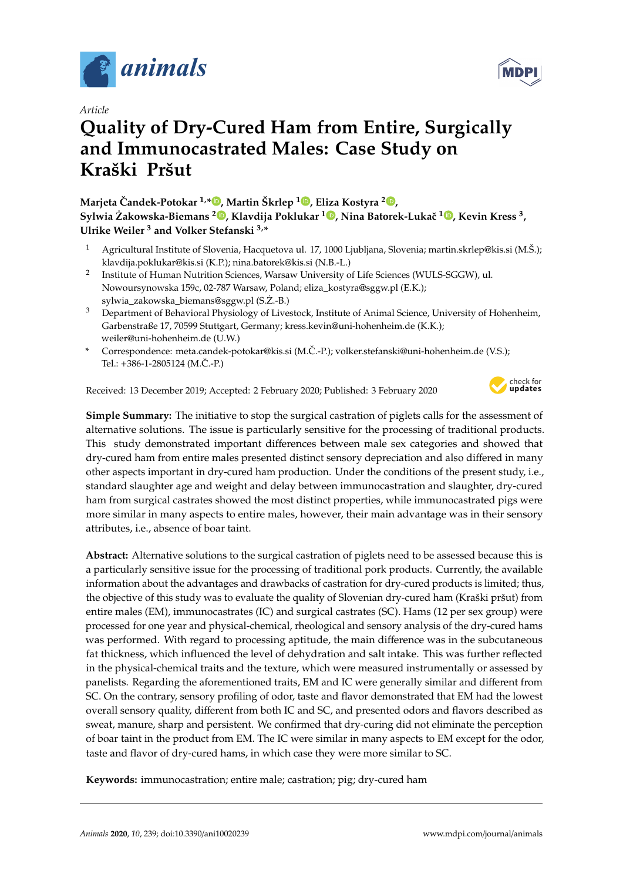

*Article*

# **Quality of Dry-Cured Ham from Entire, Surgically and Immunocastrated Males: Case Study on Kraški Pršut**

# **Marjeta Candek-Potokar ˇ 1,[\\*](https://orcid.org/0000-0003-0231-126X) , Martin Škrlep <sup>1</sup> [,](https://orcid.org/0000-0002-8252-8022) Eliza Kostyra <sup>2</sup> [,](https://orcid.org/0000-0001-8613-3733) Sylwia Zakowska-Biemans ˙ <sup>2</sup> [,](https://orcid.org/0000-0001-8225-6533) Klavdija Poklukar <sup>1</sup> [,](https://orcid.org/0000-0001-5360-1860) Nina Batorek-Lukaˇc <sup>1</sup> [,](https://orcid.org/0000-0002-7198-8728) Kevin Kress <sup>3</sup> , Ulrike Weiler <sup>3</sup> and Volker Stefanski 3,\***

- <sup>1</sup> Agricultural Institute of Slovenia, Hacquetova ul. 17, 1000 Ljubljana, Slovenia; martin.skrlep@kis.si (M.Š.); klavdija.poklukar@kis.si (K.P.); nina.batorek@kis.si (N.B.-L.)
- 2 Institute of Human Nutrition Sciences, Warsaw University of Life Sciences (WULS-SGGW), ul. Nowoursynowska 159c, 02-787 Warsaw, Poland; eliza\_kostyra@sggw.pl (E.K.); sylwia\_zakowska\_biemans@sggw.pl (S.Z.-B.) ˙
- <sup>3</sup> Department of Behavioral Physiology of Livestock, Institute of Animal Science, University of Hohenheim, Garbenstraße 17, 70599 Stuttgart, Germany; kress.kevin@uni-hohenheim.de (K.K.); weiler@uni-hohenheim.de (U.W.)
- **\*** Correspondence: meta.candek-potokar@kis.si (M.C.-P.); volker.stefanski@uni-hohenheim.de (V.S.); ˇ Tel.:  $+386-1-2805124$  (M.C.-P.)

Received: 13 December 2019; Accepted: 2 February 2020; Published: 3 February 2020



**Simple Summary:** The initiative to stop the surgical castration of piglets calls for the assessment of alternative solutions. The issue is particularly sensitive for the processing of traditional products. This study demonstrated important differences between male sex categories and showed that dry-cured ham from entire males presented distinct sensory depreciation and also differed in many other aspects important in dry-cured ham production. Under the conditions of the present study, i.e., standard slaughter age and weight and delay between immunocastration and slaughter, dry-cured ham from surgical castrates showed the most distinct properties, while immunocastrated pigs were more similar in many aspects to entire males, however, their main advantage was in their sensory attributes, i.e., absence of boar taint.

**Abstract:** Alternative solutions to the surgical castration of piglets need to be assessed because this is a particularly sensitive issue for the processing of traditional pork products. Currently, the available information about the advantages and drawbacks of castration for dry-cured products is limited; thus, the objective of this study was to evaluate the quality of Slovenian dry-cured ham (Kraški pršut) from entire males (EM), immunocastrates (IC) and surgical castrates (SC). Hams (12 per sex group) were processed for one year and physical-chemical, rheological and sensory analysis of the dry-cured hams was performed. With regard to processing aptitude, the main difference was in the subcutaneous fat thickness, which influenced the level of dehydration and salt intake. This was further reflected in the physical-chemical traits and the texture, which were measured instrumentally or assessed by panelists. Regarding the aforementioned traits, EM and IC were generally similar and different from SC. On the contrary, sensory profiling of odor, taste and flavor demonstrated that EM had the lowest overall sensory quality, different from both IC and SC, and presented odors and flavors described as sweat, manure, sharp and persistent. We confirmed that dry-curing did not eliminate the perception of boar taint in the product from EM. The IC were similar in many aspects to EM except for the odor, taste and flavor of dry-cured hams, in which case they were more similar to SC.

**Keywords:** immunocastration; entire male; castration; pig; dry-cured ham

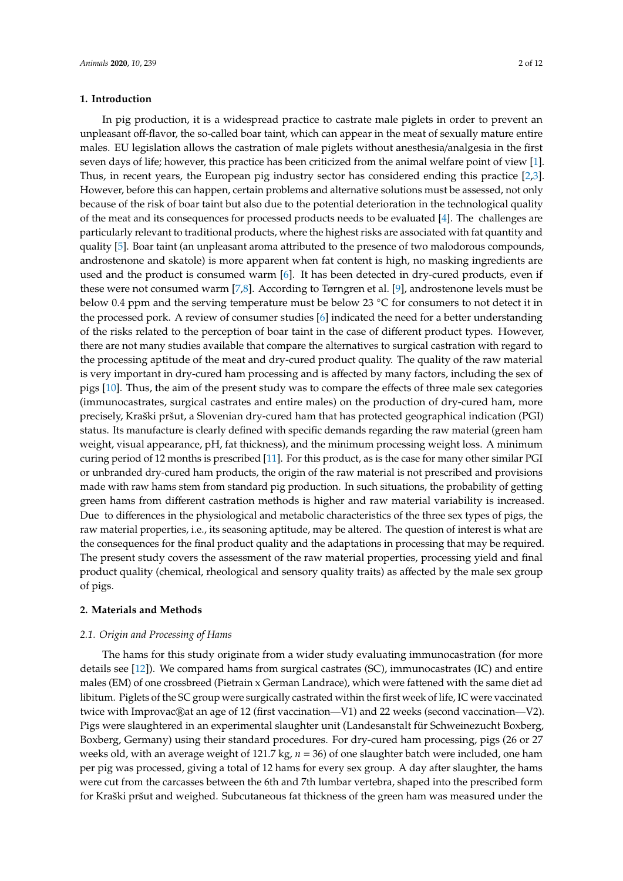#### **1. Introduction**

In pig production, it is a widespread practice to castrate male piglets in order to prevent an unpleasant off-flavor, the so-called boar taint, which can appear in the meat of sexually mature entire males. EU legislation allows the castration of male piglets without anesthesia/analgesia in the first seven days of life; however, this practice has been criticized from the animal welfare point of view [\[1\]](#page-9-0). Thus, in recent years, the European pig industry sector has considered ending this practice [\[2,](#page-9-1)[3\]](#page-9-2). However, before this can happen, certain problems and alternative solutions must be assessed, not only because of the risk of boar taint but also due to the potential deterioration in the technological quality of the meat and its consequences for processed products needs to be evaluated [\[4\]](#page-9-3). The challenges are particularly relevant to traditional products, where the highest risks are associated with fat quantity and quality [\[5\]](#page-9-4). Boar taint (an unpleasant aroma attributed to the presence of two malodorous compounds, androstenone and skatole) is more apparent when fat content is high, no masking ingredients are used and the product is consumed warm [\[6\]](#page-9-5). It has been detected in dry-cured products, even if these were not consumed warm [\[7](#page-9-6)[,8\]](#page-9-7). According to Tørngren et al. [\[9\]](#page-9-8), androstenone levels must be below 0.4 ppm and the serving temperature must be below 23 °C for consumers to not detect it in the processed pork. A review of consumer studies [\[6\]](#page-9-5) indicated the need for a better understanding of the risks related to the perception of boar taint in the case of different product types. However, there are not many studies available that compare the alternatives to surgical castration with regard to the processing aptitude of the meat and dry-cured product quality. The quality of the raw material is very important in dry-cured ham processing and is affected by many factors, including the sex of pigs [\[10\]](#page-9-9). Thus, the aim of the present study was to compare the effects of three male sex categories (immunocastrates, surgical castrates and entire males) on the production of dry-cured ham, more precisely, Kraški pršut, a Slovenian dry-cured ham that has protected geographical indication (PGI) status. Its manufacture is clearly defined with specific demands regarding the raw material (green ham weight, visual appearance, pH, fat thickness), and the minimum processing weight loss. A minimum curing period of 12 months is prescribed [\[11\]](#page-10-0). For this product, as is the case for many other similar PGI or unbranded dry-cured ham products, the origin of the raw material is not prescribed and provisions made with raw hams stem from standard pig production. In such situations, the probability of getting green hams from different castration methods is higher and raw material variability is increased. Due to differences in the physiological and metabolic characteristics of the three sex types of pigs, the raw material properties, i.e., its seasoning aptitude, may be altered. The question of interest is what are the consequences for the final product quality and the adaptations in processing that may be required. The present study covers the assessment of the raw material properties, processing yield and final product quality (chemical, rheological and sensory quality traits) as affected by the male sex group of pigs.

#### **2. Materials and Methods**

#### *2.1. Origin and Processing of Hams*

The hams for this study originate from a wider study evaluating immunocastration (for more details see [\[12\]](#page-10-1)). We compared hams from surgical castrates (SC), immunocastrates (IC) and entire males (EM) of one crossbreed (Pietrain x German Landrace), which were fattened with the same diet ad libitum. Piglets of the SC group were surgically castrated within the first week of life, IC were vaccinated twice with Improvac®at an age of 12 (first vaccination—V1) and 22 weeks (second vaccination—V2). Pigs were slaughtered in an experimental slaughter unit (Landesanstalt für Schweinezucht Boxberg, Boxberg, Germany) using their standard procedures. For dry-cured ham processing, pigs (26 or 27 weeks old, with an average weight of 121.7 kg, *n* = 36) of one slaughter batch were included, one ham per pig was processed, giving a total of 12 hams for every sex group. A day after slaughter, the hams were cut from the carcasses between the 6th and 7th lumbar vertebra, shaped into the prescribed form for Kraški pršut and weighed. Subcutaneous fat thickness of the green ham was measured under the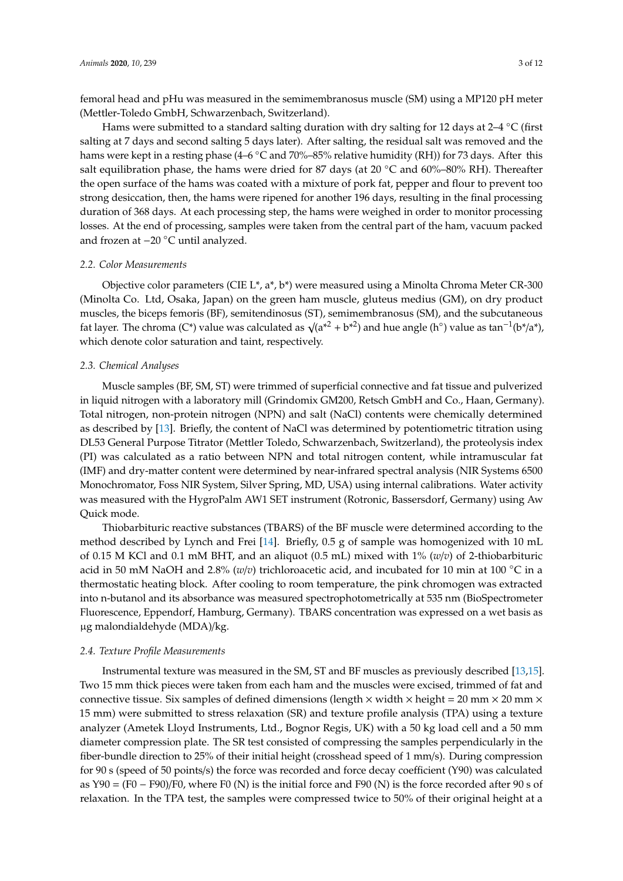femoral head and pHu was measured in the semimembranosus muscle (SM) using a MP120 pH meter (Mettler-Toledo GmbH, Schwarzenbach, Switzerland).

Hams were submitted to a standard salting duration with dry salting for 12 days at 2–4 °C (first salting at 7 days and second salting 5 days later). After salting, the residual salt was removed and the hams were kept in a resting phase (4–6 ℃ and 70%–85% relative humidity (RH)) for 73 days. After this salt equilibration phase, the hams were dried for 87 days (at 20  $\degree$ C and 60%–80% RH). Thereafter the open surface of the hams was coated with a mixture of pork fat, pepper and flour to prevent too strong desiccation, then, the hams were ripened for another 196 days, resulting in the final processing duration of 368 days. At each processing step, the hams were weighed in order to monitor processing losses. At the end of processing, samples were taken from the central part of the ham, vacuum packed and frozen at −20 ◦C until analyzed.

#### *2.2. Color Measurements*

Objective color parameters (CIE L\*, a\*, b\*) were measured using a Minolta Chroma Meter CR-300 (Minolta Co. Ltd, Osaka, Japan) on the green ham muscle, gluteus medius (GM), on dry product muscles, the biceps femoris (BF), semitendinosus (ST), semimembranosus (SM), and the subcutaneous muscies, the biceps femoris (br), semitendinosus (51), semimembranosus (500), and the subcutaneous<br>fat layer. The chroma (C\*) value was calculated as  $\sqrt{(a^{*2} + b^{*2})}$  and hue angle (h°) value as tan<sup>-1</sup>(b\*/a\*), which denote color saturation and taint, respectively.

#### *2.3. Chemical Analyses*

Muscle samples (BF, SM, ST) were trimmed of superficial connective and fat tissue and pulverized in liquid nitrogen with a laboratory mill (Grindomix GM200, Retsch GmbH and Co., Haan, Germany). Total nitrogen, non-protein nitrogen (NPN) and salt (NaCl) contents were chemically determined as described by [\[13\]](#page-10-2). Briefly, the content of NaCl was determined by potentiometric titration using DL53 General Purpose Titrator (Mettler Toledo, Schwarzenbach, Switzerland), the proteolysis index (PI) was calculated as a ratio between NPN and total nitrogen content, while intramuscular fat (IMF) and dry-matter content were determined by near-infrared spectral analysis (NIR Systems 6500 Monochromator, Foss NIR System, Silver Spring, MD, USA) using internal calibrations. Water activity was measured with the HygroPalm AW1 SET instrument (Rotronic, Bassersdorf, Germany) using Aw Quick mode.

Thiobarbituric reactive substances (TBARS) of the BF muscle were determined according to the method described by Lynch and Frei [\[14\]](#page-10-3). Briefly, 0.5 g of sample was homogenized with 10 mL of 0.15 M KCl and 0.1 mM BHT, and an aliquot (0.5 mL) mixed with 1% (*w*/*v*) of 2-thiobarbituric acid in 50 mM NaOH and 2.8% (*w*/*v*) trichloroacetic acid, and incubated for 10 min at 100 ◦C in a thermostatic heating block. After cooling to room temperature, the pink chromogen was extracted into n-butanol and its absorbance was measured spectrophotometrically at 535 nm (BioSpectrometer Fluorescence, Eppendorf, Hamburg, Germany). TBARS concentration was expressed on a wet basis as µg malondialdehyde (MDA)/kg.

#### *2.4. Texture Profile Measurements*

Instrumental texture was measured in the SM, ST and BF muscles as previously described [\[13](#page-10-2)[,15\]](#page-10-4). Two 15 mm thick pieces were taken from each ham and the muscles were excised, trimmed of fat and connective tissue. Six samples of defined dimensions (length  $\times$  width  $\times$  height = 20 mm  $\times$  20 mm  $\times$ 15 mm) were submitted to stress relaxation (SR) and texture profile analysis (TPA) using a texture analyzer (Ametek Lloyd Instruments, Ltd., Bognor Regis, UK) with a 50 kg load cell and a 50 mm diameter compression plate. The SR test consisted of compressing the samples perpendicularly in the fiber-bundle direction to 25% of their initial height (crosshead speed of 1 mm/s). During compression for 90 s (speed of 50 points/s) the force was recorded and force decay coefficient (Y90) was calculated as Y90 = (F0 − F90)/F0, where F0 (N) is the initial force and F90 (N) is the force recorded after 90 s of relaxation. In the TPA test, the samples were compressed twice to 50% of their original height at a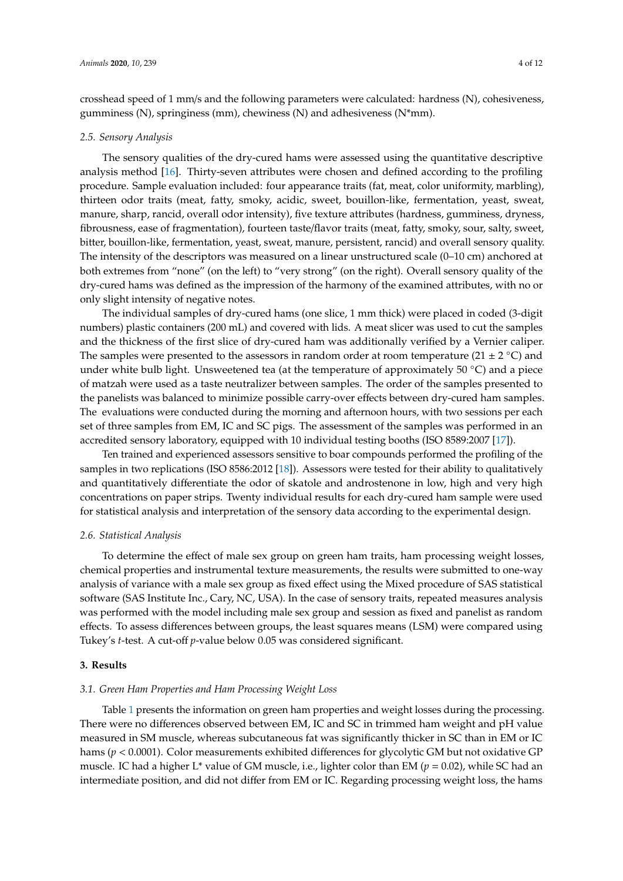crosshead speed of 1 mm/s and the following parameters were calculated: hardness (N), cohesiveness, gumminess (N), springiness (mm), chewiness (N) and adhesiveness (N\*mm).

#### *2.5. Sensory Analysis*

The sensory qualities of the dry-cured hams were assessed using the quantitative descriptive analysis method [\[16\]](#page-10-5). Thirty-seven attributes were chosen and defined according to the profiling procedure. Sample evaluation included: four appearance traits (fat, meat, color uniformity, marbling), thirteen odor traits (meat, fatty, smoky, acidic, sweet, bouillon-like, fermentation, yeast, sweat, manure, sharp, rancid, overall odor intensity), five texture attributes (hardness, gumminess, dryness, fibrousness, ease of fragmentation), fourteen taste/flavor traits (meat, fatty, smoky, sour, salty, sweet, bitter, bouillon-like, fermentation, yeast, sweat, manure, persistent, rancid) and overall sensory quality. The intensity of the descriptors was measured on a linear unstructured scale (0–10 cm) anchored at both extremes from "none" (on the left) to "very strong" (on the right). Overall sensory quality of the dry-cured hams was defined as the impression of the harmony of the examined attributes, with no or only slight intensity of negative notes.

The individual samples of dry-cured hams (one slice, 1 mm thick) were placed in coded (3-digit numbers) plastic containers (200 mL) and covered with lids. A meat slicer was used to cut the samples and the thickness of the first slice of dry-cured ham was additionally verified by a Vernier caliper. The samples were presented to the assessors in random order at room temperature (21  $\pm$  2 °C) and under white bulb light. Unsweetened tea (at the temperature of approximately  $50^{\circ}$ C) and a piece of matzah were used as a taste neutralizer between samples. The order of the samples presented to the panelists was balanced to minimize possible carry-over effects between dry-cured ham samples. The evaluations were conducted during the morning and afternoon hours, with two sessions per each set of three samples from EM, IC and SC pigs. The assessment of the samples was performed in an accredited sensory laboratory, equipped with 10 individual testing booths (ISO 8589:2007 [\[17\]](#page-10-6)).

Ten trained and experienced assessors sensitive to boar compounds performed the profiling of the samples in two replications (ISO 8586:2012 [\[18\]](#page-10-7)). Assessors were tested for their ability to qualitatively and quantitatively differentiate the odor of skatole and androstenone in low, high and very high concentrations on paper strips. Twenty individual results for each dry-cured ham sample were used for statistical analysis and interpretation of the sensory data according to the experimental design.

#### *2.6. Statistical Analysis*

To determine the effect of male sex group on green ham traits, ham processing weight losses, chemical properties and instrumental texture measurements, the results were submitted to one-way analysis of variance with a male sex group as fixed effect using the Mixed procedure of SAS statistical software (SAS Institute Inc., Cary, NC, USA). In the case of sensory traits, repeated measures analysis was performed with the model including male sex group and session as fixed and panelist as random effects. To assess differences between groups, the least squares means (LSM) were compared using Tukey's *t*-test. A cut-off *p*-value below 0.05 was considered significant.

#### **3. Results**

#### *3.1. Green Ham Properties and Ham Processing Weight Loss*

Table [1](#page-4-0) presents the information on green ham properties and weight losses during the processing. There were no differences observed between EM, IC and SC in trimmed ham weight and pH value measured in SM muscle, whereas subcutaneous fat was significantly thicker in SC than in EM or IC hams ( $p < 0.0001$ ). Color measurements exhibited differences for glycolytic GM but not oxidative GP muscle. IC had a higher L<sup>\*</sup> value of GM muscle, i.e., lighter color than EM ( $p = 0.02$ ), while SC had an intermediate position, and did not differ from EM or IC. Regarding processing weight loss, the hams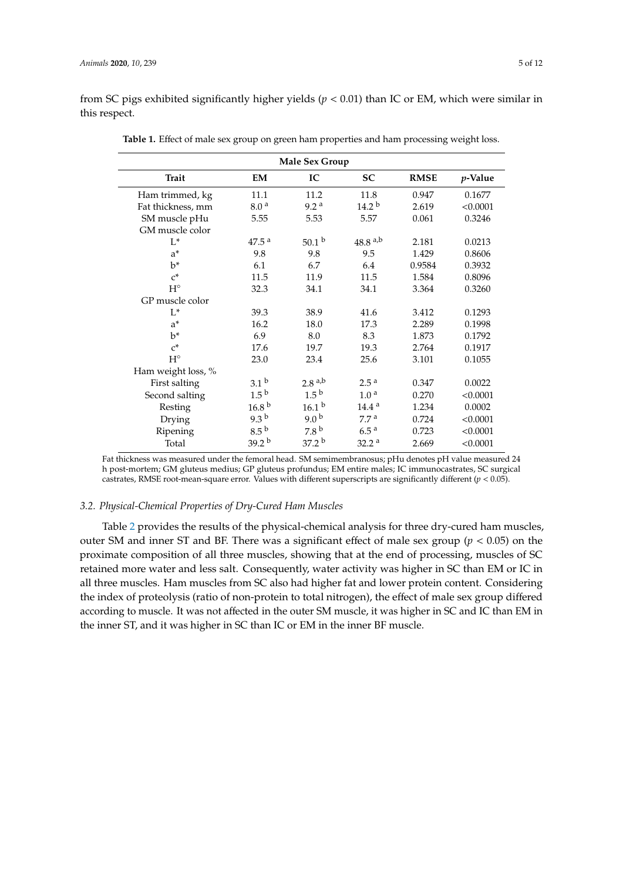<span id="page-4-0"></span>from SC pigs exhibited significantly higher yields (*p* < 0.01) than IC or EM, which were similar in this respect.

| Male Sex Group     |                   |                   |                       |             |                 |  |
|--------------------|-------------------|-------------------|-----------------------|-------------|-----------------|--|
| <b>Trait</b>       | EM                | IC                | SC                    | <b>RMSE</b> | <i>p</i> -Value |  |
| Ham trimmed, kg    | 11.1              | 11.2              | 11.8                  | 0.947       | 0.1677          |  |
| Fat thickness, mm  | 8.0 <sup>a</sup>  | 9.2 <sup>a</sup>  | 14.2 <sup>b</sup>     | 2.619       | < 0.0001        |  |
| SM muscle pHu      | 5.55              | 5.53              | 5.57                  | 0.061       | 0.3246          |  |
| GM muscle color    |                   |                   |                       |             |                 |  |
| $L^*$              | 47.5 <sup>a</sup> | 50.1 $^{\rm b}$   | $48.8$ <sup>a,b</sup> | 2.181       | 0.0213          |  |
| $a^*$              | 9.8               | 9.8               | 9.5                   | 1.429       | 0.8606          |  |
| $b^*$              | 6.1               | 6.7               | 6.4                   | 0.9584      | 0.3932          |  |
| $\mathfrak{c}^*$   | 11.5              | 11.9              | 11.5                  | 1.584       | 0.8096          |  |
| $\mathrm{H}^\circ$ | 32.3              | 34.1              | 34.1                  | 3.364       | 0.3260          |  |
| GP muscle color    |                   |                   |                       |             |                 |  |
| $L^*$              | 39.3              | 38.9              | 41.6                  | 3.412       | 0.1293          |  |
| $a^*$              | 16.2              | 18.0              | 17.3                  | 2.289       | 0.1998          |  |
| $b^*$              | 6.9               | 8.0               | 8.3                   | 1.873       | 0.1792          |  |
| $c^*$              | 17.6              | 19.7              | 19.3                  | 2.764       | 0.1917          |  |
| $\mathrm{H}^\circ$ | 23.0              | 23.4              | 25.6                  | 3.101       | 0.1055          |  |
| Ham weight loss, % |                   |                   |                       |             |                 |  |
| First salting      | 3.1 <sup>b</sup>  | $2.8^{a,b}$       | 2.5 <sup>a</sup>      | 0.347       | 0.0022          |  |
| Second salting     | 1.5 <sup>b</sup>  | 1.5 <sup>b</sup>  | 1.0 <sup>a</sup>      | 0.270       | < 0.0001        |  |
| Resting            | 16.8 <sup>b</sup> | 16.1 <sup>b</sup> | 14.4 <sup>a</sup>     | 1.234       | 0.0002          |  |
| Drying             | $9.3^{b}$         | 9.0 <sup>b</sup>  | 7.7 <sup>a</sup>      | 0.724       | < 0.0001        |  |
| Ripening           | 8.5 <sup>b</sup>  | 7.8 <sup>b</sup>  | 6.5 <sup>a</sup>      | 0.723       | < 0.0001        |  |
| Total              | $39.2^{b}$        | $37.2^{b}$        | 32.2 <sup>a</sup>     | 2.669       | < 0.0001        |  |

**Table 1.** Effect of male sex group on green ham properties and ham processing weight loss.

Fat thickness was measured under the femoral head. SM semimembranosus; pHu denotes pH value measured 24 h post-mortem; GM gluteus medius; GP gluteus profundus; EM entire males; IC immunocastrates, SC surgical castrates, RMSE root-mean-square error. Values with different superscripts are significantly different (*p* < 0.05).

#### *3.2. Physical-Chemical Properties of Dry-Cured Ham Muscles*

Table [2](#page-5-0) provides the results of the physical-chemical analysis for three dry-cured ham muscles, outer SM and inner ST and BF. There was a significant effect of male sex group (*p* < 0.05) on the proximate composition of all three muscles, showing that at the end of processing, muscles of SC retained more water and less salt. Consequently, water activity was higher in SC than EM or IC in all three muscles. Ham muscles from SC also had higher fat and lower protein content. Considering the index of proteolysis (ratio of non-protein to total nitrogen), the effect of male sex group differed according to muscle. It was not affected in the outer SM muscle, it was higher in SC and IC than EM in the inner ST, and it was higher in SC than IC or EM in the inner BF muscle.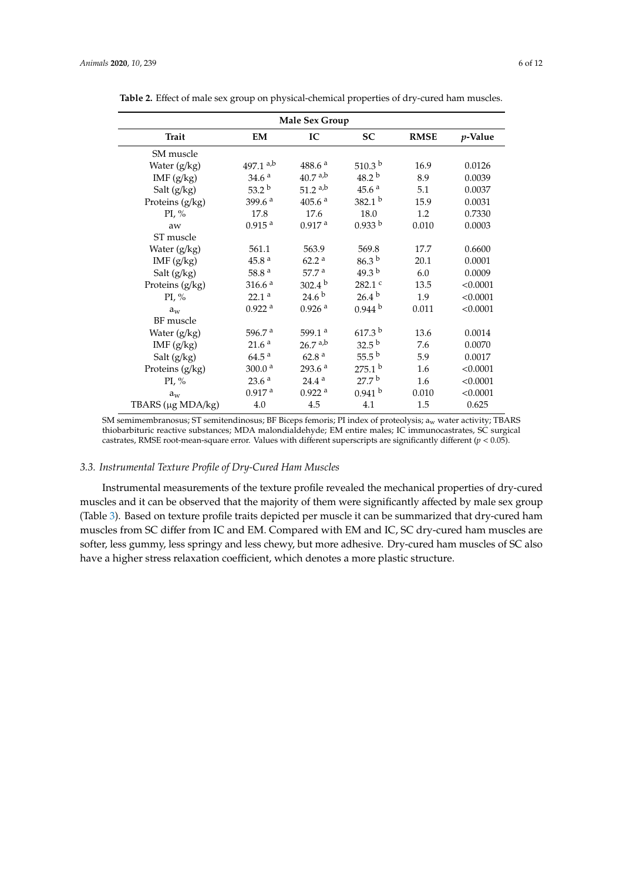| Male Sex Group    |                        |                       |                    |             |                 |  |
|-------------------|------------------------|-----------------------|--------------------|-------------|-----------------|--|
| <b>Trait</b>      | EM                     | IC                    | SC                 | <b>RMSE</b> | <i>p</i> -Value |  |
| SM muscle         |                        |                       |                    |             |                 |  |
| Water (g/kg)      | $497.1$ <sup>a,b</sup> | 488.6 <sup>a</sup>    | 510.3 $^{\rm b}$   | 16.9        | 0.0126          |  |
| IMF $(g/kg)$      | 34.6 <sup>a</sup>      | $40.7$ <sup>a,b</sup> | 48.2 <sup>b</sup>  | 8.9         | 0.0039          |  |
| Salt (g/kg)       | 53.2 $^{\rm b}$        | $51.2^{a,b}$          | 45.6 <sup>a</sup>  | 5.1         | 0.0037          |  |
| Proteins (g/kg)   | 399.6 <sup>a</sup>     | 405.6 <sup>a</sup>    | 382.1 <sup>b</sup> | 15.9        | 0.0031          |  |
| $PI, \%$          | 17.8                   | 17.6                  | 18.0               | 1.2         | 0.7330          |  |
| aw                | $0.915$ <sup>a</sup>   | $0.917$ <sup>a</sup>  | 0.933 <sup>b</sup> | 0.010       | 0.0003          |  |
| ST muscle         |                        |                       |                    |             |                 |  |
| Water (g/kg)      | 561.1                  | 563.9                 | 569.8              | 17.7        | 0.6600          |  |
| IMF $(g/kg)$      | 45.8 <sup>a</sup>      | 62.2 <sup>a</sup>     | 86.3 <sup>b</sup>  | 20.1        | 0.0001          |  |
| Salt (g/kg)       | 58.8 <sup>a</sup>      | 57.7 <sup>a</sup>     | $49.3^{b}$         | 6.0         | 0.0009          |  |
| Proteins (g/kg)   | 316.6 <sup>a</sup>     | 302.4 <sup>b</sup>    | $282.1$ $c$        | 13.5        | < 0.0001        |  |
| $PI, \%$          | 22.1 <sup>a</sup>      | 24.6 <sup>b</sup>     | $26.4^{b}$         | 1.9         | < 0.0001        |  |
| a <sub>w</sub>    | $0.922$ <sup>a</sup>   | $0.926$ <sup>a</sup>  | 0.944 b            | 0.011       | < 0.0001        |  |
| BF muscle         |                        |                       |                    |             |                 |  |
| Water (g/kg)      | 596.7 <sup>a</sup>     | 599.1 $a$             | 617.3 <sup>b</sup> | 13.6        | 0.0014          |  |
| IMF $(g/kg)$      | $21.6$ $^{\rm a}$      | $26.7$ <sup>a,b</sup> | $32.5^{b}$         | 7.6         | 0.0070          |  |
| Salt (g/kg)       | 64.5 <sup>a</sup>      | 62.8 <sup>a</sup>     | 55.5 $^{\rm b}$    | 5.9         | 0.0017          |  |
| Proteins (g/kg)   | $300.0$ $^{\rm a}$     | 293.6 <sup>a</sup>    | 275.1 <sup>b</sup> | 1.6         | < 0.0001        |  |
| $PI, \%$          | 23.6 <sup>a</sup>      | 24.4 <sup>a</sup>     | 27.7 <sup>b</sup>  | 1.6         | < 0.0001        |  |
| $a_w$             | 0.917 <sup>a</sup>     | $0.922$ <sup>a</sup>  | 0.941 <sup>b</sup> | 0.010       | < 0.0001        |  |
| TBARS (µg MDA/kg) | 4.0                    | 4.5                   | 4.1                | 1.5         | 0.625           |  |

<span id="page-5-0"></span>**Table 2.** Effect of male sex group on physical-chemical properties of dry-cured ham muscles.

SM semimembranosus; ST semitendinosus; BF Biceps femoris; PI index of proteolysis;  $a_w$  water activity; TBARS thiobarbituric reactive substances; MDA malondialdehyde; EM entire males; IC immunocastrates, SC surgical castrates, RMSE root-mean-square error. Values with different superscripts are significantly different (*p* < 0.05).

# *3.3. Instrumental Texture Profile of Dry-Cured Ham Muscles*

Instrumental measurements of the texture profile revealed the mechanical properties of dry-cured muscles and it can be observed that the majority of them were significantly affected by male sex group (Table [3\)](#page-6-0). Based on texture profile traits depicted per muscle it can be summarized that dry-cured ham muscles from SC differ from IC and EM. Compared with EM and IC, SC dry-cured ham muscles are softer, less gummy, less springy and less chewy, but more adhesive. Dry-cured ham muscles of SC also have a higher stress relaxation coefficient, which denotes a more plastic structure.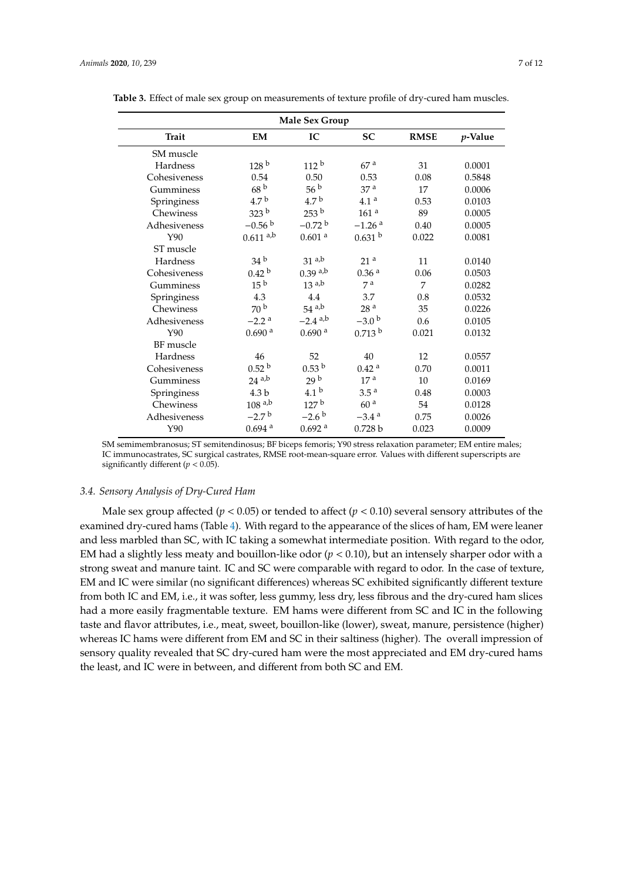| Male Sex Group |                        |                       |                      |             |         |  |
|----------------|------------------------|-----------------------|----------------------|-------------|---------|--|
| <b>Trait</b>   | EM                     | IC                    | <b>SC</b>            | <b>RMSE</b> | p-Value |  |
| SM muscle      |                        |                       |                      |             |         |  |
| Hardness       | 128 <sup>b</sup>       | 112 <sup>b</sup>      | 67 <sup>a</sup>      | 31          | 0.0001  |  |
| Cohesiveness   | 0.54                   | 0.50                  | 0.53                 | 0.08        | 0.5848  |  |
| Gumminess      | 68 <sup>b</sup>        | 56 <sup>b</sup>       | 37 <sup>a</sup>      | 17          | 0.0006  |  |
| Springiness    | 4.7 <sup>b</sup>       | 4.7 <sup>b</sup>      | 4.1 <sup>a</sup>     | 0.53        | 0.0103  |  |
| Chewiness      | 323 <sup>b</sup>       | 253 <sup>b</sup>      | 161 <sup>a</sup>     | 89          | 0.0005  |  |
| Adhesiveness   | $-0.56b$               | $-0.72$ b             | $-1.26$ <sup>a</sup> | 0.40        | 0.0005  |  |
| Y90            | $0.611$ <sup>a,b</sup> | $0.601$ <sup>a</sup>  | 0.631 <sup>b</sup>   | 0.022       | 0.0081  |  |
| ST muscle      |                        |                       |                      |             |         |  |
| Hardness       | 34 <sup>b</sup>        | $31$ a,b              | 21 <sup>a</sup>      | 11          | 0.0140  |  |
| Cohesiveness   | 0.42 <sup>b</sup>      | $0.39$ <sup>a,b</sup> | 0.36 <sup>a</sup>    | 0.06        | 0.0503  |  |
| Gumminess      | 15 <sup>b</sup>        | $13$ a,b              | 7 <sup>a</sup>       | 7           | 0.0282  |  |
| Springiness    | 4.3                    | 4.4                   | 3.7                  | 0.8         | 0.0532  |  |
| Chewiness      | 70 <sup>b</sup>        | $54$ <sup>a,b</sup>   | 28 <sup>a</sup>      | 35          | 0.0226  |  |
| Adhesiveness   | $-2.2a$                | $-2.4$ <sup>a,b</sup> | $-3.0b$              | 0.6         | 0.0105  |  |
| Y90            | 0.690 <sup>a</sup>     | 0.690 <sup>a</sup>    | 0.713 <sup>b</sup>   | 0.021       | 0.0132  |  |
| BF muscle      |                        |                       |                      |             |         |  |
| Hardness       | 46                     | 52                    | 40                   | 12          | 0.0557  |  |
| Cohesiveness   | 0.52 <sup>b</sup>      | 0.53 <sup>b</sup>     | 0.42 <sup>a</sup>    | 0.70        | 0.0011  |  |
| Gumminess      | $24$ a,b               | 29 <sup>b</sup>       | 17 <sup>a</sup>      | 10          | 0.0169  |  |
| Springiness    | 4.3 <sub>b</sub>       | 4.1 $^{\rm b}$        | 3.5 <sup>a</sup>     | 0.48        | 0.0003  |  |
| Chewiness      | $108$ <sup>a,b</sup>   | 127 <sup>b</sup>      | 60 <sup>a</sup>      | 54          | 0.0128  |  |
| Adhesiveness   | $-2.7b$                | $-2.6b$               | $-3.4$ <sup>a</sup>  | 0.75        | 0.0026  |  |
| Y90            | $0.694$ <sup>a</sup>   | $0.692$ <sup>a</sup>  | 0.728 b              | 0.023       | 0.0009  |  |

<span id="page-6-0"></span>**Table 3.** Effect of male sex group on measurements of texture profile of dry-cured ham muscles.

SM semimembranosus; ST semitendinosus; BF biceps femoris; Y90 stress relaxation parameter; EM entire males; IC immunocastrates, SC surgical castrates, RMSE root-mean-square error. Values with different superscripts are significantly different ( $p < 0.05$ ).

#### *3.4. Sensory Analysis of Dry-Cured Ham*

Male sex group affected ( $p < 0.05$ ) or tended to affect ( $p < 0.10$ ) several sensory attributes of the examined dry-cured hams (Table [4\)](#page-7-0). With regard to the appearance of the slices of ham, EM were leaner and less marbled than SC, with IC taking a somewhat intermediate position. With regard to the odor, EM had a slightly less meaty and bouillon-like odor  $(p < 0.10)$ , but an intensely sharper odor with a strong sweat and manure taint. IC and SC were comparable with regard to odor. In the case of texture, EM and IC were similar (no significant differences) whereas SC exhibited significantly different texture from both IC and EM, i.e., it was softer, less gummy, less dry, less fibrous and the dry-cured ham slices had a more easily fragmentable texture. EM hams were different from SC and IC in the following taste and flavor attributes, i.e., meat, sweet, bouillon-like (lower), sweat, manure, persistence (higher) whereas IC hams were different from EM and SC in their saltiness (higher). The overall impression of sensory quality revealed that SC dry-cured ham were the most appreciated and EM dry-cured hams the least, and IC were in between, and different from both SC and EM.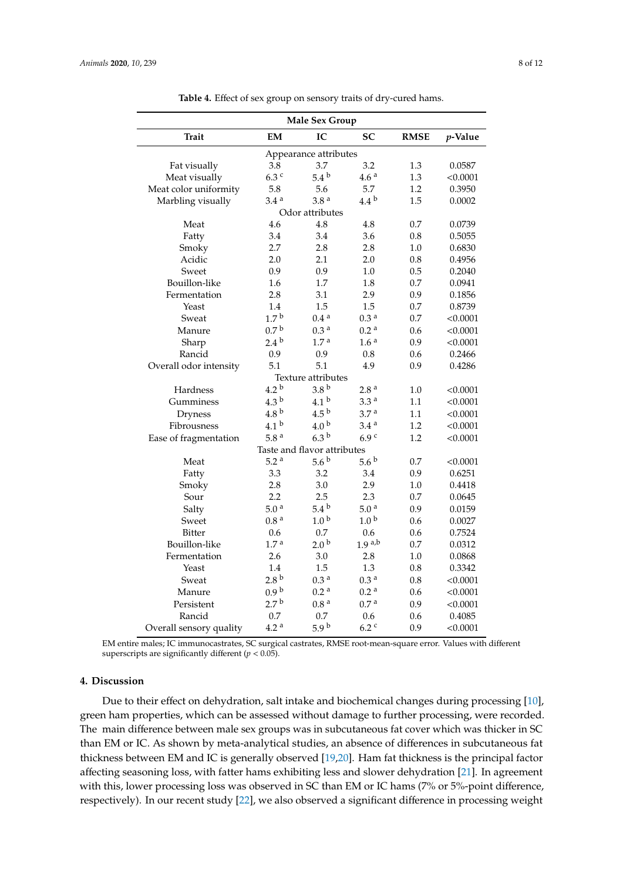<span id="page-7-0"></span>

| <b>Male Sex Group</b>   |                  |                             |                    |             |          |
|-------------------------|------------------|-----------------------------|--------------------|-------------|----------|
| <b>Trait</b>            | EM               | IC                          | SC                 | <b>RMSE</b> | p-Value  |
|                         |                  | Appearance attributes       |                    |             |          |
| Fat visually            | 3.8              | 3.7                         | 3.2                | 1.3         | 0.0587   |
| Meat visually           | 6.3 <sup>c</sup> | $5.4^{\text{ b}}$           | 4.6 <sup>a</sup>   | 1.3         | < 0.0001 |
| Meat color uniformity   | 5.8              | 5.6                         | 5.7                | 1.2         | 0.3950   |
| Marbling visually       | 3.4 <sup>a</sup> | 3.8 <sup>a</sup>            | 4.4 <sup>b</sup>   | 1.5         | 0.0002   |
|                         |                  | Odor attributes             |                    |             |          |
| Meat                    | 4.6              | 4.8                         | 4.8                | 0.7         | 0.0739   |
| Fatty                   | 3.4              | 3.4                         | 3.6                | 0.8         | 0.5055   |
| Smoky                   | 2.7              | 2.8                         | 2.8                | 1.0         | 0.6830   |
| Acidic                  | 2.0              | 2.1                         | 2.0                | 0.8         | 0.4956   |
| Sweet                   | 0.9              | 0.9                         | 1.0                | 0.5         | 0.2040   |
| Bouillon-like           | 1.6              | 1.7                         | 1.8                | 0.7         | 0.0941   |
| Fermentation            | 2.8              | 3.1                         | 2.9                | 0.9         | 0.1856   |
| Yeast                   | 1.4              | 1.5                         | 1.5                | 0.7         | 0.8739   |
| Sweat                   | 1.7 <sup>b</sup> | 0.4 <sup>a</sup>            | 0.3 <sup>a</sup>   | 0.7         | < 0.0001 |
| Manure                  | 0.7 <sup>b</sup> | 0.3 <sup>a</sup>            | 0.2 <sup>a</sup>   | 0.6         | < 0.0001 |
| Sharp                   | $2.4^{b}$        | 1.7 <sup>a</sup>            | 1.6 <sup>a</sup>   | 0.9         | < 0.0001 |
| Rancid                  | 0.9              | 0.9                         | 0.8                | 0.6         | 0.2466   |
| Overall odor intensity  | 5.1              | 5.1                         | 4.9                | 0.9         | 0.4286   |
|                         |                  | Texture attributes          |                    |             |          |
| Hardness                | $4.2^{b}$        | 3.8 <sup>b</sup>            | 2.8 <sup>a</sup>   | 1.0         | < 0.0001 |
| Gumminess               | $4.3^{\;\rm b}$  | 4.1 <sup>b</sup>            | 3.3 <sup>a</sup>   | 1.1         | < 0.0001 |
| Dryness                 | 4.8 <sup>b</sup> | 4.5 <sup>b</sup>            | 3.7 <sup>a</sup>   | 1.1         | < 0.0001 |
| Fibrousness             | 4.1 <sup>b</sup> | 4.0 <sup>b</sup>            | 3.4 <sup>a</sup>   | 1.2         | < 0.0001 |
| Ease of fragmentation   | 5.8 <sup>a</sup> | $6.3^{b}$                   | 6.9 <sup>c</sup>   | 1.2         | < 0.0001 |
|                         |                  | Taste and flavor attributes |                    |             |          |
| Meat                    | 5.2 <sup>a</sup> | 5.6 <sup>b</sup>            | 5.6 $^{\rm b}$     | 0.7         | < 0.0001 |
| Fatty                   | 3.3              | 3.2                         | 3.4                | 0.9         | 0.6251   |
| Smoky                   | 2.8              | 3.0                         | 2.9                | 1.0         | 0.4418   |
| Sour                    | 2.2              | 2.5                         | 2.3                | 0.7         | 0.0645   |
| Salty                   | 5.0 <sup>a</sup> | $5.4^{\text{b}}$            | 5.0 <sup>a</sup>   | 0.9         | 0.0159   |
| Sweet                   | 0.8 <sup>a</sup> | 1.0 <sup>b</sup>            | 1.0 <sup>b</sup>   | 0.6         | 0.0027   |
| <b>Bitter</b>           | 0.6              | 0.7                         | 0.6                | 0.6         | 0.7524   |
| Bouillon-like           | 1.7 <sup>a</sup> | 2.0 <sup>b</sup>            | 1.9 <sup>a,b</sup> | 0.7         | 0.0312   |
| Fermentation            | 2.6              | 3.0                         | 2.8                | 1.0         | 0.0868   |
| Yeast                   | 1.4              | 1.5                         | 1.3                | 0.8         | 0.3342   |
| Sweat                   | 2.8 <sup>b</sup> | 0.3 <sup>a</sup>            | 0.3 <sup>a</sup>   | 0.8         | < 0.0001 |
| Manure                  | $0.9\ ^{\rm b}$  | 0.2 <sup>a</sup>            | 0.2 <sup>a</sup>   | 0.6         | < 0.0001 |
| Persistent              | 2.7 <sup>b</sup> | 0.8 <sup>a</sup>            | 0.7 <sup>a</sup>   | 0.9         | < 0.0001 |
| Rancid                  | 0.7              | 0.7                         | 0.6                | 0.6         | 0.4085   |
| Overall sensory quality | 4.2 <sup>a</sup> | 5.9 <sup>b</sup>            | 6.2 <sup>c</sup>   | 0.9         | < 0.0001 |

**Table 4.** Effect of sex group on sensory traits of dry-cured hams.

EM entire males; IC immunocastrates, SC surgical castrates, RMSE root-mean-square error. Values with different superscripts are significantly different  $(p < 0.05)$ .

# **4. Discussion**

Due to their effect on dehydration, salt intake and biochemical changes during processing [\[10\]](#page-9-9), green ham properties, which can be assessed without damage to further processing, were recorded. The main difference between male sex groups was in subcutaneous fat cover which was thicker in SC than EM or IC. As shown by meta-analytical studies, an absence of differences in subcutaneous fat thickness between EM and IC is generally observed [\[19,](#page-10-8)[20\]](#page-10-9). Ham fat thickness is the principal factor affecting seasoning loss, with fatter hams exhibiting less and slower dehydration [\[21\]](#page-10-10). In agreement with this, lower processing loss was observed in SC than EM or IC hams (7% or 5%-point difference, respectively). In our recent study [\[22\]](#page-10-11), we also observed a significant difference in processing weight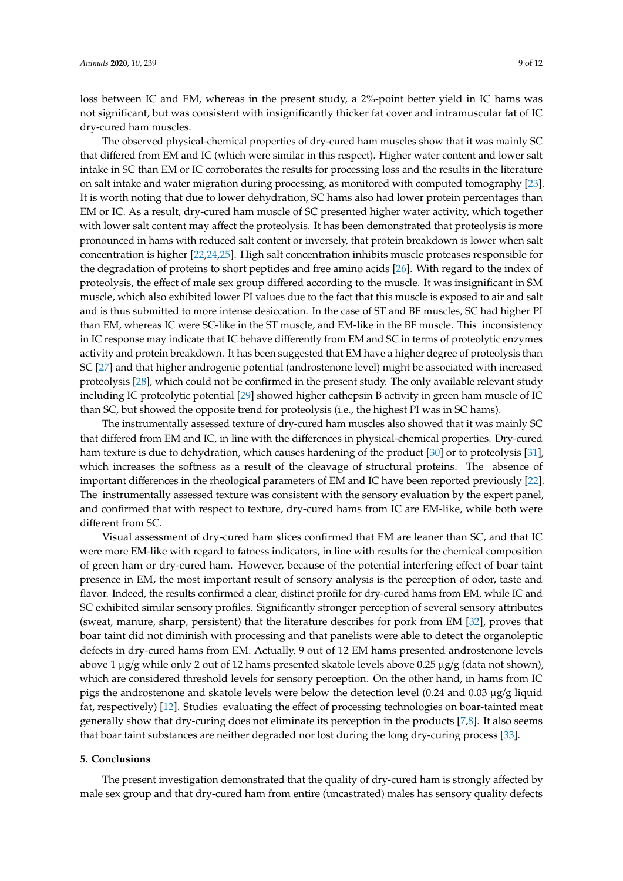loss between IC and EM, whereas in the present study, a 2%-point better yield in IC hams was not significant, but was consistent with insignificantly thicker fat cover and intramuscular fat of IC dry-cured ham muscles.

The observed physical-chemical properties of dry-cured ham muscles show that it was mainly SC that differed from EM and IC (which were similar in this respect). Higher water content and lower salt intake in SC than EM or IC corroborates the results for processing loss and the results in the literature on salt intake and water migration during processing, as monitored with computed tomography [\[23\]](#page-10-12). It is worth noting that due to lower dehydration, SC hams also had lower protein percentages than EM or IC. As a result, dry-cured ham muscle of SC presented higher water activity, which together with lower salt content may affect the proteolysis. It has been demonstrated that proteolysis is more pronounced in hams with reduced salt content or inversely, that protein breakdown is lower when salt concentration is higher [\[22,](#page-10-11)[24,](#page-10-13)[25\]](#page-10-14). High salt concentration inhibits muscle proteases responsible for the degradation of proteins to short peptides and free amino acids [\[26\]](#page-10-15). With regard to the index of proteolysis, the effect of male sex group differed according to the muscle. It was insignificant in SM muscle, which also exhibited lower PI values due to the fact that this muscle is exposed to air and salt and is thus submitted to more intense desiccation. In the case of ST and BF muscles, SC had higher PI than EM, whereas IC were SC-like in the ST muscle, and EM-like in the BF muscle. This inconsistency in IC response may indicate that IC behave differently from EM and SC in terms of proteolytic enzymes activity and protein breakdown. It has been suggested that EM have a higher degree of proteolysis than SC [\[27\]](#page-10-16) and that higher androgenic potential (androstenone level) might be associated with increased proteolysis [\[28\]](#page-10-17), which could not be confirmed in the present study. The only available relevant study including IC proteolytic potential [\[29\]](#page-10-18) showed higher cathepsin B activity in green ham muscle of IC than SC, but showed the opposite trend for proteolysis (i.e., the highest PI was in SC hams).

The instrumentally assessed texture of dry-cured ham muscles also showed that it was mainly SC that differed from EM and IC, in line with the differences in physical-chemical properties. Dry-cured ham texture is due to dehydration, which causes hardening of the product [\[30\]](#page-10-19) or to proteolysis [\[31\]](#page-11-0), which increases the softness as a result of the cleavage of structural proteins. The absence of important differences in the rheological parameters of EM and IC have been reported previously [\[22\]](#page-10-11). The instrumentally assessed texture was consistent with the sensory evaluation by the expert panel, and confirmed that with respect to texture, dry-cured hams from IC are EM-like, while both were different from SC.

Visual assessment of dry-cured ham slices confirmed that EM are leaner than SC, and that IC were more EM-like with regard to fatness indicators, in line with results for the chemical composition of green ham or dry-cured ham. However, because of the potential interfering effect of boar taint presence in EM, the most important result of sensory analysis is the perception of odor, taste and flavor. Indeed, the results confirmed a clear, distinct profile for dry-cured hams from EM, while IC and SC exhibited similar sensory profiles. Significantly stronger perception of several sensory attributes (sweat, manure, sharp, persistent) that the literature describes for pork from EM [\[32\]](#page-11-1), proves that boar taint did not diminish with processing and that panelists were able to detect the organoleptic defects in dry-cured hams from EM. Actually, 9 out of 12 EM hams presented androstenone levels above 1  $\mu$ g/g while only 2 out of 12 hams presented skatole levels above 0.25  $\mu$ g/g (data not shown), which are considered threshold levels for sensory perception. On the other hand, in hams from IC pigs the androstenone and skatole levels were below the detection level (0.24 and 0.03  $\mu$ g/g liquid fat, respectively) [\[12\]](#page-10-1). Studies evaluating the effect of processing technologies on boar-tainted meat generally show that dry-curing does not eliminate its perception in the products [\[7,](#page-9-6)[8\]](#page-9-7). It also seems that boar taint substances are neither degraded nor lost during the long dry-curing process [\[33\]](#page-11-2).

### **5. Conclusions**

The present investigation demonstrated that the quality of dry-cured ham is strongly affected by male sex group and that dry-cured ham from entire (uncastrated) males has sensory quality defects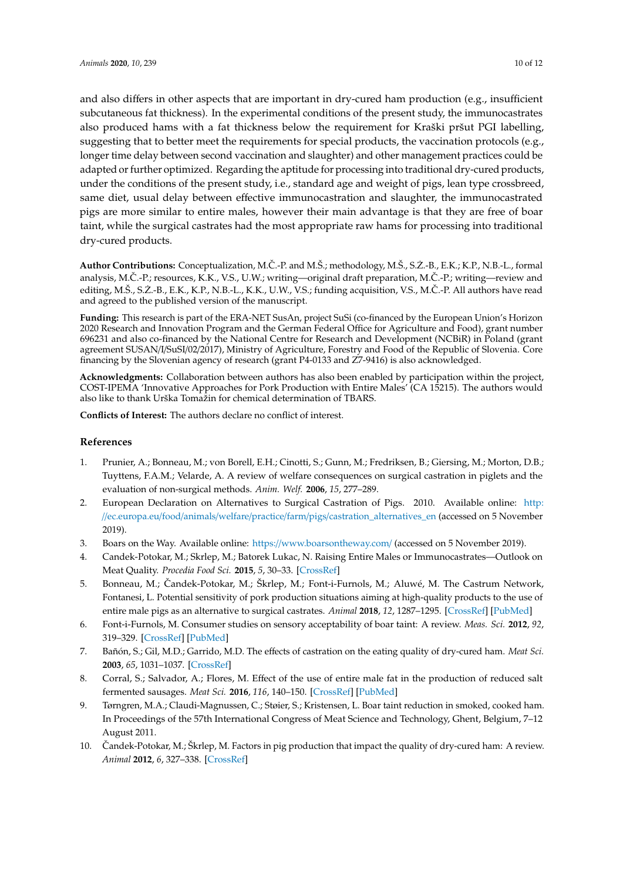and also differs in other aspects that are important in dry-cured ham production (e.g., insufficient subcutaneous fat thickness). In the experimental conditions of the present study, the immunocastrates also produced hams with a fat thickness below the requirement for Kraški pršut PGI labelling, suggesting that to better meet the requirements for special products, the vaccination protocols (e.g., longer time delay between second vaccination and slaughter) and other management practices could be adapted or further optimized. Regarding the aptitude for processing into traditional dry-cured products, under the conditions of the present study, i.e., standard age and weight of pigs, lean type crossbreed, same diet, usual delay between effective immunocastration and slaughter, the immunocastrated pigs are more similar to entire males, however their main advantage is that they are free of boar taint, while the surgical castrates had the most appropriate raw hams for processing into traditional dry-cured products.

Author Contributions: Conceptualization, M.C.-P. and M.S.; methodology, M.S., S.Z.-B., E.K.; K.P., N.B.-L., formal analysis, M.Č.-P.; resources, K.K., V.S., U.W.; writing—original draft preparation, M.Č.-P.; writing—review and editing, M.Š., S.Z.-B., E.K., K.P., N.B.-L., K.K., U.W., V.S.; funding acquisition, V.S., M.Č.-P. All authors have read and agreed to the published version of the manuscript.

**Funding:** This research is part of the ERA-NET SusAn, project SuSi (co-financed by the European Union's Horizon 2020 Research and Innovation Program and the German Federal Office for Agriculture and Food), grant number 696231 and also co-financed by the National Centre for Research and Development (NCBiR) in Poland (grant agreement SUSAN/I/SuSI/02/2017), Ministry of Agriculture, Forestry and Food of the Republic of Slovenia. Core financing by the Slovenian agency of research (grant P4-0133 and Z7-9416) is also acknowledged.

**Acknowledgments:** Collaboration between authors has also been enabled by participation within the project, COST-IPEMA 'Innovative Approaches for Pork Production with Entire Males' (CA 15215). The authors would also like to thank Urška Tomažin for chemical determination of TBARS.

**Conflicts of Interest:** The authors declare no conflict of interest.

# **References**

- <span id="page-9-0"></span>1. Prunier, A.; Bonneau, M.; von Borell, E.H.; Cinotti, S.; Gunn, M.; Fredriksen, B.; Giersing, M.; Morton, D.B.; Tuyttens, F.A.M.; Velarde, A. A review of welfare consequences on surgical castration in piglets and the evaluation of non-surgical methods. *Anim. Welf.* **2006**, *15*, 277–289.
- <span id="page-9-1"></span>2. European Declaration on Alternatives to Surgical Castration of Pigs. 2010. Available online: [http:](http://ec.europa.eu/food/animals/welfare/practice/farm/pigs/castration_alternatives_en) //ec.europa.eu/food/animals/welfare/practice/farm/pigs/[castration\\_alternatives\\_en](http://ec.europa.eu/food/animals/welfare/practice/farm/pigs/castration_alternatives_en) (accessed on 5 November 2019).
- <span id="page-9-2"></span>3. Boars on the Way. Available online: https://[www.boarsontheway.com](https://www.boarsontheway.com/)/ (accessed on 5 November 2019).
- <span id="page-9-3"></span>4. Candek-Potokar, M.; Skrlep, M.; Batorek Lukac, N. Raising Entire Males or Immunocastrates—Outlook on Meat Quality. *Procedia Food Sci.* **2015**, *5*, 30–33. [\[CrossRef\]](http://dx.doi.org/10.1016/j.profoo.2015.09.008)
- <span id="page-9-4"></span>5. Bonneau, M.; Čandek-Potokar, M.; Škrlep, M.; Font-i-Furnols, M.; Aluwé, M. The Castrum Network, Fontanesi, L. Potential sensitivity of pork production situations aiming at high-quality products to the use of entire male pigs as an alternative to surgical castrates. *Animal* **2018**, *12*, 1287–1295. [\[CrossRef\]](http://dx.doi.org/10.1017/S1751731117003044) [\[PubMed\]](http://www.ncbi.nlm.nih.gov/pubmed/29143706)
- <span id="page-9-5"></span>6. Font-i-Furnols, M. Consumer studies on sensory acceptability of boar taint: A review. *Meas. Sci.* **2012**, *92*, 319–329. [\[CrossRef\]](http://dx.doi.org/10.1016/j.meatsci.2012.05.009) [\[PubMed\]](http://www.ncbi.nlm.nih.gov/pubmed/22682684)
- <span id="page-9-6"></span>7. Bañón, S.; Gil, M.D.; Garrido, M.D. The effects of castration on the eating quality of dry-cured ham. *Meat Sci.* **2003**, *65*, 1031–1037. [\[CrossRef\]](http://dx.doi.org/10.1016/S0309-1740(02)00321-2)
- <span id="page-9-7"></span>8. Corral, S.; Salvador, A.; Flores, M. Effect of the use of entire male fat in the production of reduced salt fermented sausages. *Meat Sci.* **2016**, *116*, 140–150. [\[CrossRef\]](http://dx.doi.org/10.1016/j.meatsci.2016.02.005) [\[PubMed\]](http://www.ncbi.nlm.nih.gov/pubmed/26882213)
- <span id="page-9-8"></span>9. Tørngren, M.A.; Claudi-Magnussen, C.; Støier, S.; Kristensen, L. Boar taint reduction in smoked, cooked ham. In Proceedings of the 57th International Congress of Meat Science and Technology, Ghent, Belgium, 7–12 August 2011.
- <span id="page-9-9"></span>10. Čandek-Potokar, M.; Škrlep, M. Factors in pig production that impact the quality of dry-cured ham: A review. *Animal* **2012**, *6*, 327–338. [\[CrossRef\]](http://dx.doi.org/10.1017/S1751731111001625)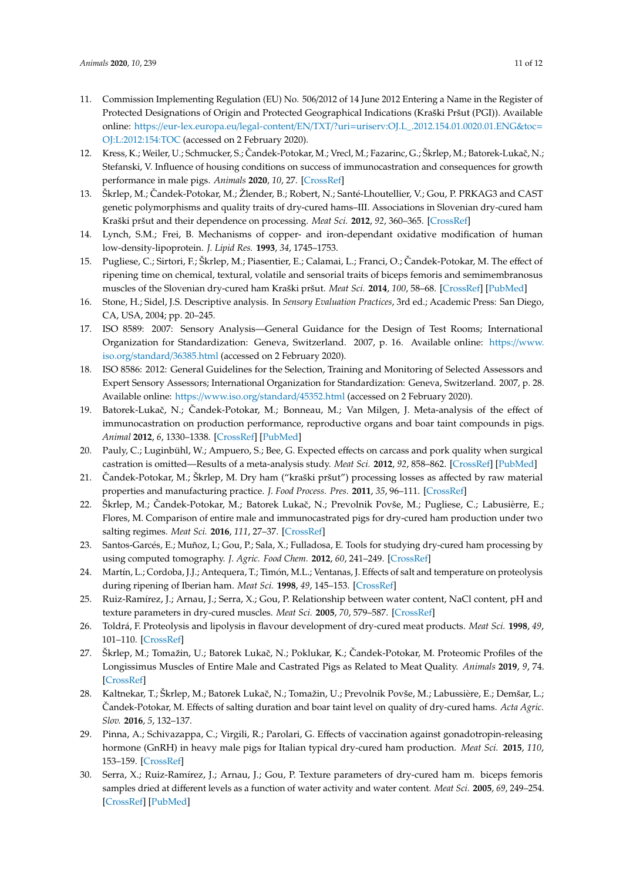- <span id="page-10-0"></span>11. Commission Implementing Regulation (EU) No. 506/2012 of 14 June 2012 Entering a Name in the Register of Protected Designations of Origin and Protected Geographical Indications (Kraški Pršut (PGI)). Available online: https://eur-lex.europa.eu/legal-content/EN/TXT/?uri=[uriserv:OJ.L\\_.2012.154.01.0020.01.ENG&toc](https://eur-lex.europa.eu/legal-content/EN/TXT/?uri=uriserv:OJ.L_.2012.154.01.0020.01.ENG&toc=OJ:L:2012:154:TOC)= [OJ:L:2012:154:TOC](https://eur-lex.europa.eu/legal-content/EN/TXT/?uri=uriserv:OJ.L_.2012.154.01.0020.01.ENG&toc=OJ:L:2012:154:TOC) (accessed on 2 February 2020).
- <span id="page-10-1"></span>12. Kress, K.; Weiler, U.; Schmucker, S.; Čandek-Potokar, M.; Vrecl, M.; Fazarinc, G.; Škrlep, M.; Batorek-Lukač, N.; Stefanski, V. Influence of housing conditions on success of immunocastration and consequences for growth performance in male pigs. *Animals* **2020**, *10*, 27. [\[CrossRef\]](http://dx.doi.org/10.3390/ani10010027)
- <span id="page-10-2"></span>13. Škrlep, M.; Čandek-Potokar, M.; Žlender, B.; Robert, N.; Santé-Lhoutellier, V.; Gou, P. PRKAG3 and CAST genetic polymorphisms and quality traits of dry-cured hams–III. Associations in Slovenian dry-cured ham Kraški pršut and their dependence on processing. *Meat Sci.* **2012**, *92*, 360–365. [\[CrossRef\]](http://dx.doi.org/10.1016/j.meatsci.2012.06.021)
- <span id="page-10-3"></span>14. Lynch, S.M.; Frei, B. Mechanisms of copper- and iron-dependant oxidative modification of human low-density-lipoprotein. *J. Lipid Res.* **1993**, *34*, 1745–1753.
- <span id="page-10-4"></span>15. Pugliese, C.; Sirtori, F.; Škrlep, M.; Piasentier, E.; Calamai, L.; Franci, O.; Čandek-Potokar, M. The effect of ripening time on chemical, textural, volatile and sensorial traits of biceps femoris and semimembranosus muscles of the Slovenian dry-cured ham Kraški pršut. *Meat Sci.* **2014**, *100*, 58–68. [\[CrossRef\]](http://dx.doi.org/10.1016/j.meatsci.2014.09.012) [\[PubMed\]](http://www.ncbi.nlm.nih.gov/pubmed/25306512)
- <span id="page-10-5"></span>16. Stone, H.; Sidel, J.S. Descriptive analysis. In *Sensory Evaluation Practices*, 3rd ed.; Academic Press: San Diego, CA, USA, 2004; pp. 20–245.
- <span id="page-10-6"></span>17. ISO 8589: 2007: Sensory Analysis—General Guidance for the Design of Test Rooms; International Organization for Standardization: Geneva, Switzerland. 2007, p. 16. Available online: https://[www.](https://www.iso.org/standard/36385.html) iso.org/standard/[36385.html](https://www.iso.org/standard/36385.html) (accessed on 2 February 2020).
- <span id="page-10-7"></span>18. ISO 8586: 2012: General Guidelines for the Selection, Training and Monitoring of Selected Assessors and Expert Sensory Assessors; International Organization for Standardization: Geneva, Switzerland. 2007, p. 28. Available online: https://[www.iso.org](https://www.iso.org/standard/45352.html)/standard/45352.html (accessed on 2 February 2020).
- <span id="page-10-8"></span>19. Batorek-Lukač, N.; Čandek-Potokar, M.; Bonneau, M.; Van Milgen, J. Meta-analysis of the effect of immunocastration on production performance, reproductive organs and boar taint compounds in pigs. *Animal* **2012**, *6*, 1330–1338. [\[CrossRef\]](http://dx.doi.org/10.1017/S1751731112000146) [\[PubMed\]](http://www.ncbi.nlm.nih.gov/pubmed/23217237)
- <span id="page-10-9"></span>20. Pauly, C.; Luginbühl, W.; Ampuero, S.; Bee, G. Expected effects on carcass and pork quality when surgical castration is omitted—Results of a meta-analysis study. *Meat Sci.* **2012**, *92*, 858–862. [\[CrossRef\]](http://dx.doi.org/10.1016/j.meatsci.2012.06.007) [\[PubMed\]](http://www.ncbi.nlm.nih.gov/pubmed/22749541)
- <span id="page-10-10"></span>21. Čandek-Potokar, M.; Škrlep, M. Dry ham ("kraški pršut") processing losses as affected by raw material properties and manufacturing practice. *J. Food Process. Pres.* **2011**, *35*, 96–111. [\[CrossRef\]](http://dx.doi.org/10.1111/j.1745-4549.2009.00462.x)
- <span id="page-10-11"></span>22. Škrlep, M.; Čandek-Potokar, M.; Batorek Lukač, N.; Prevolnik Povše, M.; Pugliese, C.; Labusièrre, E.; Flores, M. Comparison of entire male and immunocastrated pigs for dry-cured ham production under two salting regimes. *Meat Sci.* **2016**, *111*, 27–37. [\[CrossRef\]](http://dx.doi.org/10.1016/j.meatsci.2015.08.010)
- <span id="page-10-12"></span>23. Santos-Garcés, E.; Muñoz, I.; Gou, P.; Sala, X.; Fulladosa, E. Tools for studying dry-cured ham processing by using computed tomography. *J. Agric. Food Chem.* **2012**, *60*, 241–249. [\[CrossRef\]](http://dx.doi.org/10.1021/jf203213q)
- <span id="page-10-13"></span>24. Martín, L.; Cordoba, J.J.; Antequera, T.; Timón, M.L.; Ventanas, J. Effects of salt and temperature on proteolysis during ripening of Iberian ham. *Meat Sci.* **1998**, *49*, 145–153. [\[CrossRef\]](http://dx.doi.org/10.1016/S0309-1740(97)00129-0)
- <span id="page-10-14"></span>25. Ruiz-Ramírez, J.; Arnau, J.; Serra, X.; Gou, P. Relationship between water content, NaCl content, pH and texture parameters in dry-cured muscles. *Meat Sci.* **2005**, *70*, 579–587. [\[CrossRef\]](http://dx.doi.org/10.1016/j.meatsci.2005.02.007)
- <span id="page-10-15"></span>26. Toldrá, F. Proteolysis and lipolysis in flavour development of dry-cured meat products. *Meat Sci.* **1998**, *49*, 101–110. [\[CrossRef\]](http://dx.doi.org/10.1016/S0309-1740(98)00077-1)
- <span id="page-10-16"></span>27. Škrlep, M.; Tomažin, U.; Batorek Lukač, N.; Poklukar, K.; Čandek-Potokar, M. Proteomic Profiles of the Longissimus Muscles of Entire Male and Castrated Pigs as Related to Meat Quality. *Animals* **2019**, *9*, 74. [\[CrossRef\]](http://dx.doi.org/10.3390/ani9030074)
- <span id="page-10-17"></span>28. Kaltnekar, T.; Škrlep, M.; Batorek Lukač, N.; Tomažin, U.; Prevolnik Povše, M.; Labussière, E.; Demšar, L.; Candek-Potokar, M. Effects of salting duration and boar taint level on quality of dry-cured hams. Acta Agric. *Slov.* **2016**, *5*, 132–137.
- <span id="page-10-18"></span>29. Pinna, A.; Schivazappa, C.; Virgili, R.; Parolari, G. Effects of vaccination against gonadotropin-releasing hormone (GnRH) in heavy male pigs for Italian typical dry-cured ham production. *Meat Sci.* **2015**, *110*, 153–159. [\[CrossRef\]](http://dx.doi.org/10.1016/j.meatsci.2015.07.002)
- <span id="page-10-19"></span>30. Serra, X.; Ruiz-Ramírez, J.; Arnau, J.; Gou, P. Texture parameters of dry-cured ham m. biceps femoris samples dried at different levels as a function of water activity and water content. *Meat Sci.* **2005**, *69*, 249–254. [\[CrossRef\]](http://dx.doi.org/10.1016/j.meatsci.2004.07.004) [\[PubMed\]](http://www.ncbi.nlm.nih.gov/pubmed/22062815)